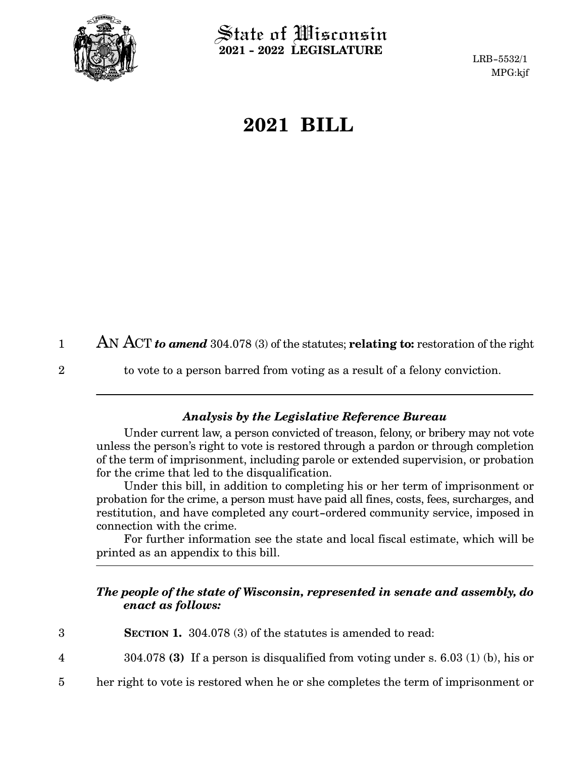

 $\operatorname{\mathsf{State}}$  of Wisconsin **2021 - 2022 LEGISLATURE**

LRB-5532/1 MPG:kjf

## **2021 BILL**

AN ACT *to amend* 304.078 (3) of the statutes; **relating to:** restoration of the right 1

2

to vote to a person barred from voting as a result of a felony conviction.

## *Analysis by the Legislative Reference Bureau*

Under current law, a person convicted of treason, felony, or bribery may not vote unless the person's right to vote is restored through a pardon or through completion of the term of imprisonment, including parole or extended supervision, or probation for the crime that led to the disqualification.

Under this bill, in addition to completing his or her term of imprisonment or probation for the crime, a person must have paid all fines, costs, fees, surcharges, and restitution, and have completed any court-ordered community service, imposed in connection with the crime.

For further information see the state and local fiscal estimate, which will be printed as an appendix to this bill.

## *The people of the state of Wisconsin, represented in senate and assembly, do enact as follows:*

- **SECTION 1.** 304.078 (3) of the statutes is amended to read: 3
- 304.078 **(3)** If a person is disqualified from voting under s. 6.03 (1) (b), his or 4
- her right to vote is restored when he or she completes the term of imprisonment or 5